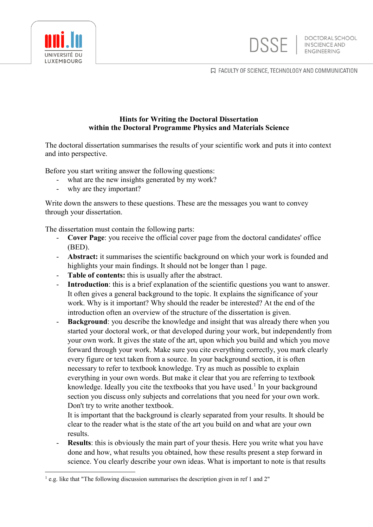

口 FACULTY OF SCIENCE, TECHNOLOGY AND COMMUNICATION



The doctoral dissertation summarises the results of your scientific work and puts it into context and into perspective.

Before you start writing answer the following questions:

- what are the new insights generated by my work?
- why are they important?

Write down the answers to these questions. These are the messages you want to convey through your dissertation.

The dissertation must contain the following parts:

- **Cover Page**: you receive the official cover page from the doctoral candidates' office (BED).
- **Abstract:** it summarises the scientific background on which your work is founded and highlights your main findings. It should not be longer than 1 page.
- Table of contents: this is usually after the abstract.
- **Introduction**: this is a brief explanation of the scientific questions you want to answer. It often gives a general background to the topic. It explains the significance of your work. Why is it important? Why should the reader be interested? At the end of the introduction often an overview of the structure of the dissertation is given.
- **Background**: you describe the knowledge and insight that was already there when you started your doctoral work, or that developed during your work, but independently from your own work. It gives the state of the art, upon which you build and which you move forward through your work. Make sure you cite everything correctly, you mark clearly every figure or text taken from a source. In your background section, it is often necessary to refer to textbook knowledge. Try as much as possible to explain everything in your own words. But make it clear that you are referring to textbook knowledge. Ideally you cite the textbooks that you have used.<sup>[1](#page-0-0)</sup> In your background section you discuss only subjects and correlations that you need for your own work. Don't try to write another textbook.

It is important that the background is clearly separated from your results. It should be clear to the reader what is the state of the art you build on and what are your own results.

**Results**: this is obviously the main part of your thesis. Here you write what you have done and how, what results you obtained, how these results present a step forward in science. You clearly describe your own ideas. What is important to note is that results



<span id="page-0-0"></span> $<sup>1</sup>$  e.g. like that "The following discussion summarises the description given in ref 1 and 2"</sup>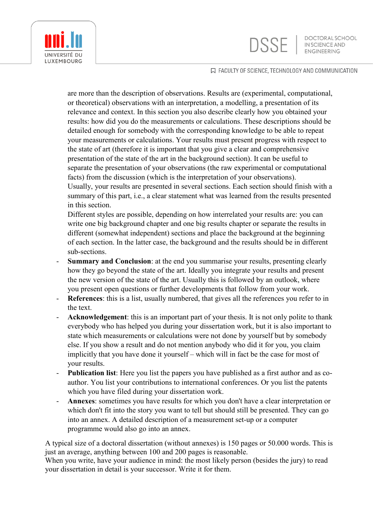**DSSE** 

**DOCTORAL SCHOOL** IN SCIENCE AND



## 口 FACULTY OF SCIENCE, TECHNOLOGY AND COMMUNICATION

are more than the description of observations. Results are (experimental, computational, or theoretical) observations with an interpretation, a modelling, a presentation of its relevance and context. In this section you also describe clearly how you obtained your results: how did you do the measurements or calculations. These descriptions should be detailed enough for somebody with the corresponding knowledge to be able to repeat your measurements or calculations. Your results must present progress with respect to the state of art (therefore it is important that you give a clear and comprehensive presentation of the state of the art in the background section). It can be useful to separate the presentation of your observations (the raw experimental or computational facts) from the discussion (which is the interpretation of your observations). Usually, your results are presented in several sections. Each section should finish with a

summary of this part, i.e., a clear statement what was learned from the results presented in this section.

Different styles are possible, depending on how interrelated your results are: you can write one big background chapter and one big results chapter or separate the results in different (somewhat independent) sections and place the background at the beginning of each section. In the latter case, the background and the results should be in different sub-sections.

- **Summary and Conclusion:** at the end you summarise your results, presenting clearly how they go beyond the state of the art. Ideally you integrate your results and present the new version of the state of the art. Usually this is followed by an outlook, where you present open questions or further developments that follow from your work.
- **References**: this is a list, usually numbered, that gives all the references you refer to in the text.
- Acknowledgement: this is an important part of your thesis. It is not only polite to thank everybody who has helped you during your dissertation work, but it is also important to state which measurements or calculations were not done by yourself but by somebody else. If you show a result and do not mention anybody who did it for you, you claim implicitly that you have done it yourself – which will in fact be the case for most of your results.
- **Publication list**: Here you list the papers you have published as a first author and as coauthor. You list your contributions to international conferences. Or you list the patents which you have filed during your dissertation work.
- Annexes: sometimes you have results for which you don't have a clear interpretation or which don't fit into the story you want to tell but should still be presented. They can go into an annex. A detailed description of a measurement set-up or a computer programme would also go into an annex.

A typical size of a doctoral dissertation (without annexes) is 150 pages or 50.000 words. This is just an average, anything between 100 and 200 pages is reasonable.

When you write, have your audience in mind: the most likely person (besides the jury) to read your dissertation in detail is your successor. Write it for them.